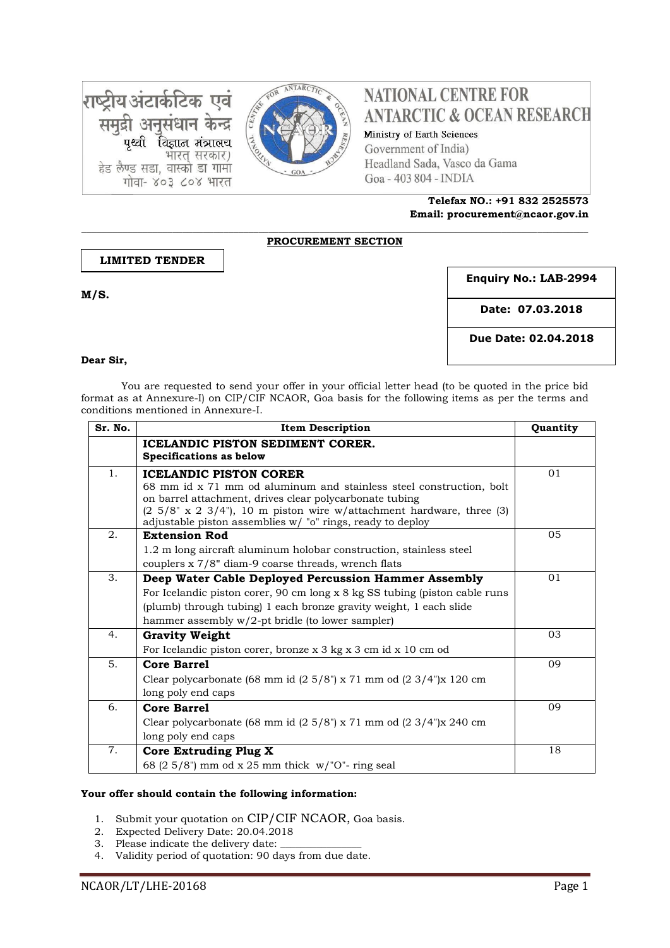राष्ट्रीय अंटार्कटिक एवं समुद्री अनुसंधान केन्द्र विज्ञान मंत्रालय भारत् सरकार) हेड लैण्ड सडा, वास्को डा गामा गोवा- ४०३ ८०४ भारत



# **NATIONAL CENTRE FOR ANTARCTIC & OCEAN RESEARCH**

Ministry of Earth Sciences Government of India) Headland Sada, Vasco da Gama Goa - 403 804 - INDIA

> **Telefax NO.: +91 832 2525573 Email: procurement@ncaor.gov.in**

> > 16.03.1

#### **\_\_\_\_\_\_\_\_\_\_\_\_\_\_\_\_\_\_\_\_\_\_\_\_\_\_\_\_\_\_\_\_\_\_\_\_\_\_\_\_\_\_\_\_\_\_\_\_\_\_\_\_\_\_\_\_\_\_\_\_\_\_\_\_\_\_\_\_\_\_\_\_\_\_\_\_\_\_\_\_\_\_\_\_\_\_\_\_\_\_\_\_\_\_\_\_\_\_\_\_ PROCUREMENT SECTION**

### **LIMITED TENDER**

**M/S.** 

**Enquiry No.: LAB-2994**

**Date: 07.03.2018**

**Due Date: 02.04.2018**

#### **Dear Sir,**

You are requested to send your offer in your official letter head (to be quoted in the price bid format as at Annexure-I) on CIP/CIF NCAOR, Goa basis for the following items as per the terms and conditions mentioned in Annexure-I.

| Sr. No. | <b>Item Description</b>                                                                                                                                                                                                                                                                                         | Quantity |
|---------|-----------------------------------------------------------------------------------------------------------------------------------------------------------------------------------------------------------------------------------------------------------------------------------------------------------------|----------|
|         | ICELANDIC PISTON SEDIMENT CORER.<br>Specifications as below                                                                                                                                                                                                                                                     |          |
| 1.      | <b>ICELANDIC PISTON CORER</b><br>68 mm id x 71 mm od aluminum and stainless steel construction, bolt<br>on barrel attachment, drives clear polycarbonate tubing<br>$(2\ 5/8" \times 2\ 3/4")$ , 10 m piston wire w/attachment hardware, three (3)<br>adjustable piston assemblies w/ "o" rings, ready to deploy | 01       |
| 2.      | <b>Extension Rod</b><br>1.2 m long aircraft aluminum holobar construction, stainless steel<br>couplers x 7/8" diam-9 coarse threads, wrench flats                                                                                                                                                               | 05       |
| 3.      | Deep Water Cable Deployed Percussion Hammer Assembly<br>For Icelandic piston corer, 90 cm long x 8 kg SS tubing (piston cable runs)<br>(plumb) through tubing) 1 each bronze gravity weight, 1 each slide<br>hammer assembly $w/2$ -pt bridle (to lower sampler)                                                | 01       |
| 4.      | <b>Gravity Weight</b><br>For Icelandic piston corer, bronze x 3 kg x 3 cm id x 10 cm od                                                                                                                                                                                                                         | 03       |
| 5.      | <b>Core Barrel</b><br>Clear polycarbonate (68 mm id $(2\ 5/8)$ x 71 mm od $(2\ 3/4)$ x 120 cm<br>long poly end caps                                                                                                                                                                                             | 09       |
| 6.      | <b>Core Barrel</b><br>Clear polycarbonate (68 mm id $(2\ 5/8)$ x 71 mm od $(2\ 3/4)$ x 240 cm<br>long poly end caps                                                                                                                                                                                             | 09       |
| 7.      | Core Extruding Plug X<br>68 (2 $5/8$ ") mm od x 25 mm thick w/"O"- ring seal                                                                                                                                                                                                                                    | 18       |

### **Your offer should contain the following information:**

- 1. Submit your quotation on CIP/CIF NCAOR, Goa basis.
- 2. Expected Delivery Date: 20.04.2018
- 3. Please indicate the delivery date:
- 4. Validity period of quotation: 90 days from due date.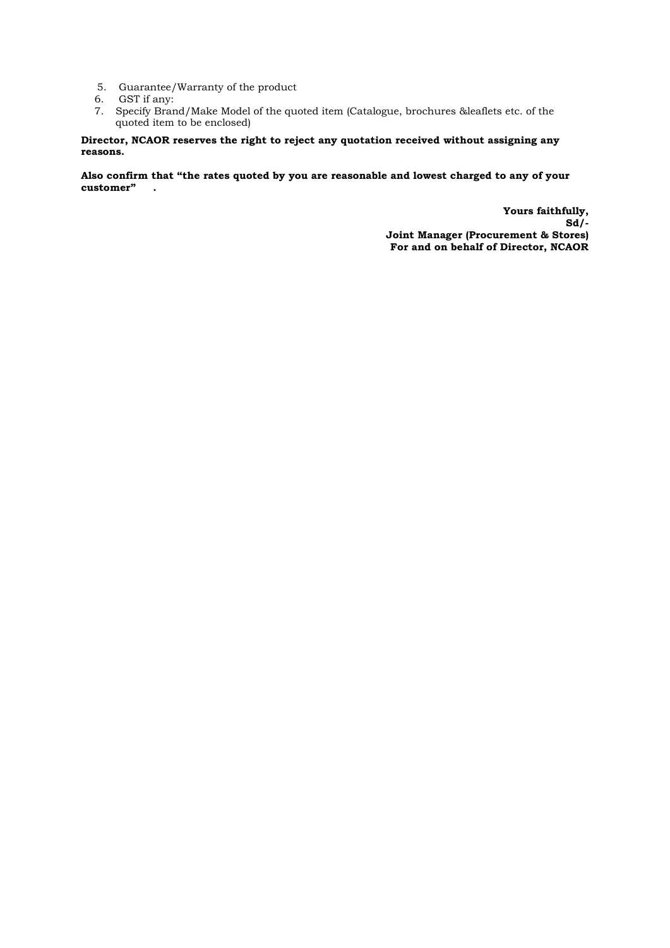- 5. Guarantee/Warranty of the product
- 6. GST if any:
- 7. Specify Brand/Make Model of the quoted item (Catalogue, brochures &leaflets etc. of the quoted item to be enclosed)

#### **Director, NCAOR reserves the right to reject any quotation received without assigning any reasons.**

**Also confirm that "the rates quoted by you are reasonable and lowest charged to any of your customer" .**

> **Yours faithfully, Sd/- Joint Manager (Procurement & Stores) For and on behalf of Director, NCAOR**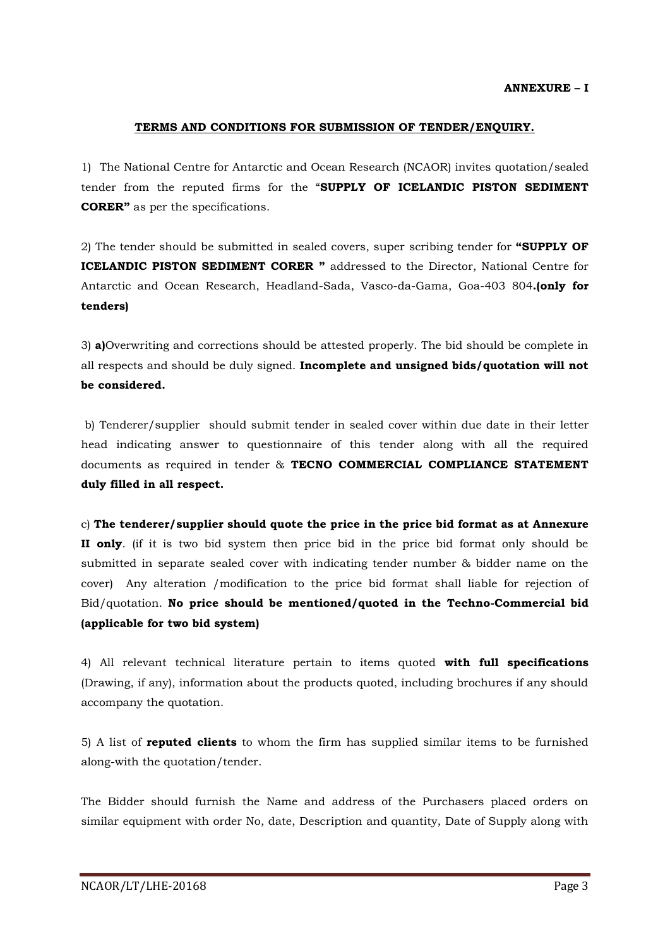### **TERMS AND CONDITIONS FOR SUBMISSION OF TENDER/ENQUIRY.**

1) The National Centre for Antarctic and Ocean Research (NCAOR) invites quotation/sealed tender from the reputed firms for the "**SUPPLY OF ICELANDIC PISTON SEDIMENT CORER"** as per the specifications.

2) The tender should be submitted in sealed covers, super scribing tender for **"SUPPLY OF ICELANDIC PISTON SEDIMENT CORER "** addressed to the Director, National Centre for Antarctic and Ocean Research, Headland-Sada, Vasco-da-Gama, Goa-403 804**.(only for tenders)**

3) **a)**Overwriting and corrections should be attested properly. The bid should be complete in all respects and should be duly signed. **Incomplete and unsigned bids/quotation will not be considered.**

b) Tenderer/supplier should submit tender in sealed cover within due date in their letter head indicating answer to questionnaire of this tender along with all the required documents as required in tender & **TECNO COMMERCIAL COMPLIANCE STATEMENT duly filled in all respect.** 

c) **The tenderer/supplier should quote the price in the price bid format as at Annexure II only**. (if it is two bid system then price bid in the price bid format only should be submitted in separate sealed cover with indicating tender number & bidder name on the cover) Any alteration /modification to the price bid format shall liable for rejection of Bid/quotation. **No price should be mentioned/quoted in the Techno-Commercial bid (applicable for two bid system)**

4) All relevant technical literature pertain to items quoted **with full specifications** (Drawing, if any), information about the products quoted, including brochures if any should accompany the quotation.

5) A list of **reputed clients** to whom the firm has supplied similar items to be furnished along-with the quotation/tender.

The Bidder should furnish the Name and address of the Purchasers placed orders on similar equipment with order No, date, Description and quantity, Date of Supply along with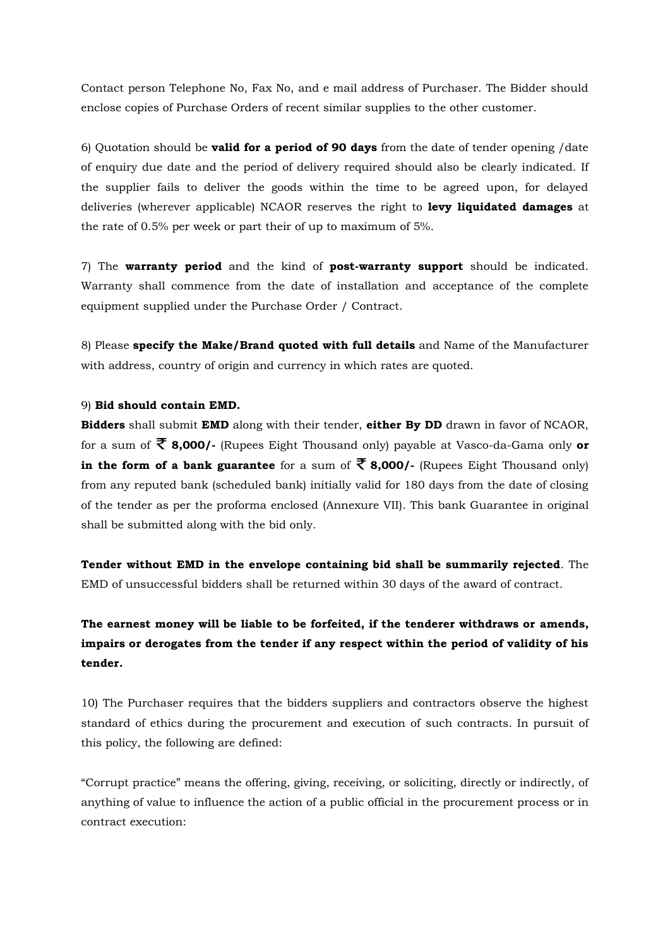Contact person Telephone No, Fax No, and e mail address of Purchaser. The Bidder should enclose copies of Purchase Orders of recent similar supplies to the other customer.

6) Quotation should be **valid for a period of 90 days** from the date of tender opening /date of enquiry due date and the period of delivery required should also be clearly indicated. If the supplier fails to deliver the goods within the time to be agreed upon, for delayed deliveries (wherever applicable) NCAOR reserves the right to **levy liquidated damages** at the rate of 0.5% per week or part their of up to maximum of 5%.

7) The **warranty period** and the kind of **post-warranty support** should be indicated. Warranty shall commence from the date of installation and acceptance of the complete equipment supplied under the Purchase Order / Contract.

8) Please **specify the Make/Brand quoted with full details** and Name of the Manufacturer with address, country of origin and currency in which rates are quoted.

#### 9) **Bid should contain EMD.**

**Bidders** shall submit **EMD** along with their tender, **either By DD** drawn in favor of NCAOR, for a sum of **8,000/-** (Rupees Eight Thousand only) payable at Vasco-da-Gama only **or in the form of a bank guarantee** for a sum of  $\overline{\mathcal{R}}$  8,000/- (Rupees Eight Thousand only) from any reputed bank (scheduled bank) initially valid for 180 days from the date of closing of the tender as per the proforma enclosed (Annexure VII). This bank Guarantee in original shall be submitted along with the bid only.

**Tender without EMD in the envelope containing bid shall be summarily rejected**. The EMD of unsuccessful bidders shall be returned within 30 days of the award of contract.

# **The earnest money will be liable to be forfeited, if the tenderer withdraws or amends, impairs or derogates from the tender if any respect within the period of validity of his tender.**

10) The Purchaser requires that the bidders suppliers and contractors observe the highest standard of ethics during the procurement and execution of such contracts. In pursuit of this policy, the following are defined:

"Corrupt practice" means the offering, giving, receiving, or soliciting, directly or indirectly, of anything of value to influence the action of a public official in the procurement process or in contract execution: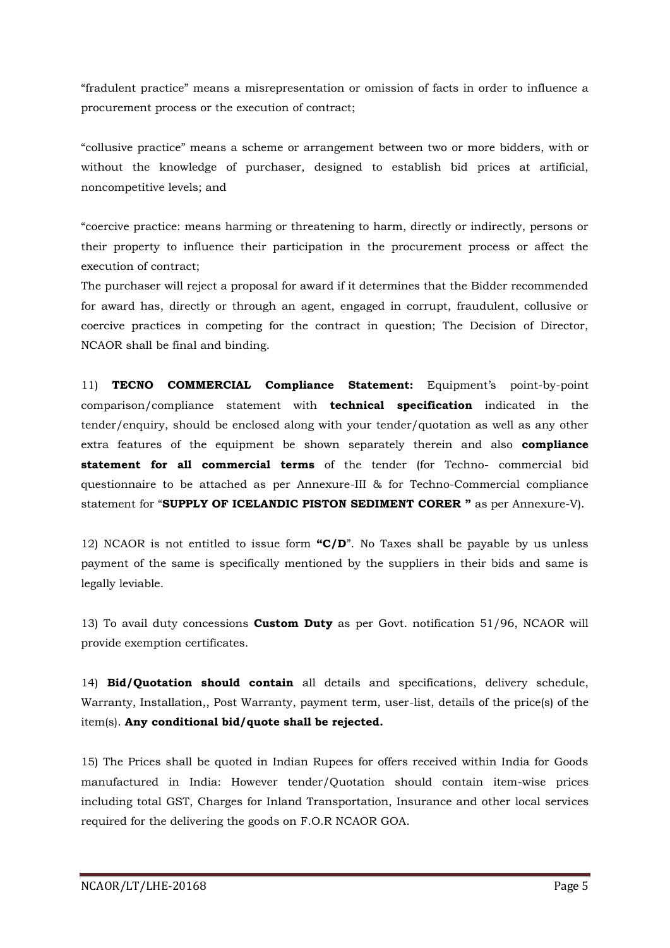"fradulent practice" means a misrepresentation or omission of facts in order to influence a procurement process or the execution of contract;

"collusive practice" means a scheme or arrangement between two or more bidders, with or without the knowledge of purchaser, designed to establish bid prices at artificial, noncompetitive levels; and

"coercive practice: means harming or threatening to harm, directly or indirectly, persons or their property to influence their participation in the procurement process or affect the execution of contract;

The purchaser will reject a proposal for award if it determines that the Bidder recommended for award has, directly or through an agent, engaged in corrupt, fraudulent, collusive or coercive practices in competing for the contract in question; The Decision of Director, NCAOR shall be final and binding.

11) **TECNO COMMERCIAL Compliance Statement:** Equipment's point-by-point comparison/compliance statement with **technical specification** indicated in the tender/enquiry, should be enclosed along with your tender/quotation as well as any other extra features of the equipment be shown separately therein and also **compliance statement for all commercial terms** of the tender (for Techno- commercial bid questionnaire to be attached as per Annexure-III & for Techno-Commercial compliance statement for "**SUPPLY OF ICELANDIC PISTON SEDIMENT CORER "** as per Annexure-V).

12) NCAOR is not entitled to issue form **"C/D**". No Taxes shall be payable by us unless payment of the same is specifically mentioned by the suppliers in their bids and same is legally leviable.

13) To avail duty concessions **Custom Duty** as per Govt. notification 51/96, NCAOR will provide exemption certificates.

14) **Bid/Quotation should contain** all details and specifications, delivery schedule, Warranty, Installation,, Post Warranty, payment term, user-list, details of the price(s) of the item(s). **Any conditional bid/quote shall be rejected.**

15) The Prices shall be quoted in Indian Rupees for offers received within India for Goods manufactured in India: However tender/Quotation should contain item-wise prices including total GST, Charges for Inland Transportation, Insurance and other local services required for the delivering the goods on F.O.R NCAOR GOA.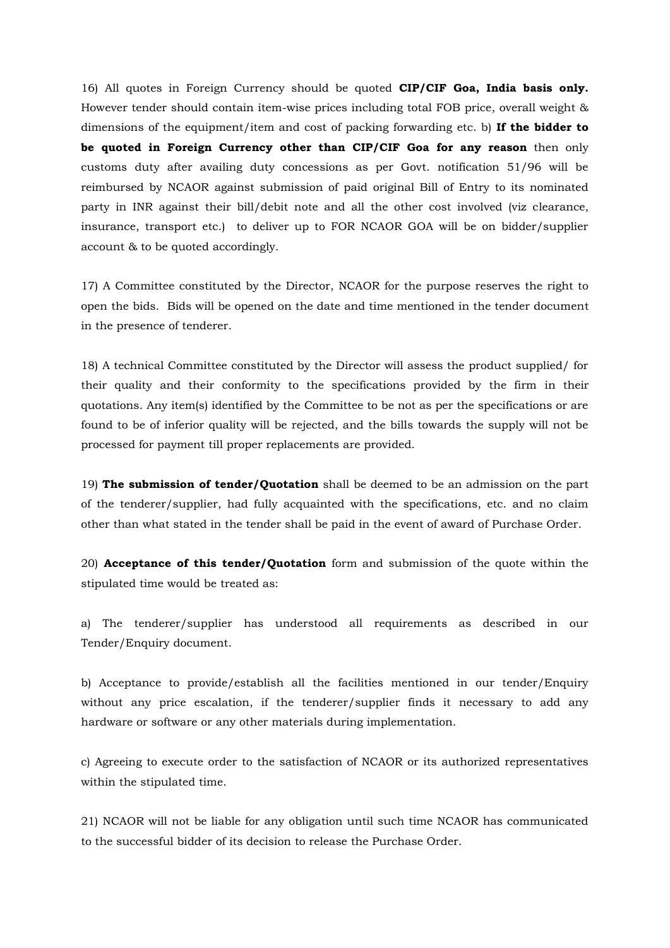16) All quotes in Foreign Currency should be quoted **CIP/CIF Goa, India basis only.** However tender should contain item-wise prices including total FOB price, overall weight & dimensions of the equipment/item and cost of packing forwarding etc. b) **If the bidder to be quoted in Foreign Currency other than CIP/CIF Goa for any reason** then only customs duty after availing duty concessions as per Govt. notification 51/96 will be reimbursed by NCAOR against submission of paid original Bill of Entry to its nominated party in INR against their bill/debit note and all the other cost involved (viz clearance, insurance, transport etc.) to deliver up to FOR NCAOR GOA will be on bidder/supplier account & to be quoted accordingly.

17) A Committee constituted by the Director, NCAOR for the purpose reserves the right to open the bids. Bids will be opened on the date and time mentioned in the tender document in the presence of tenderer.

18) A technical Committee constituted by the Director will assess the product supplied/ for their quality and their conformity to the specifications provided by the firm in their quotations. Any item(s) identified by the Committee to be not as per the specifications or are found to be of inferior quality will be rejected, and the bills towards the supply will not be processed for payment till proper replacements are provided.

19) **The submission of tender/Quotation** shall be deemed to be an admission on the part of the tenderer/supplier, had fully acquainted with the specifications, etc. and no claim other than what stated in the tender shall be paid in the event of award of Purchase Order.

20) **Acceptance of this tender/Quotation** form and submission of the quote within the stipulated time would be treated as:

a) The tenderer/supplier has understood all requirements as described in our Tender/Enquiry document.

b) Acceptance to provide/establish all the facilities mentioned in our tender/Enquiry without any price escalation, if the tenderer/supplier finds it necessary to add any hardware or software or any other materials during implementation.

c) Agreeing to execute order to the satisfaction of NCAOR or its authorized representatives within the stipulated time.

21) NCAOR will not be liable for any obligation until such time NCAOR has communicated to the successful bidder of its decision to release the Purchase Order.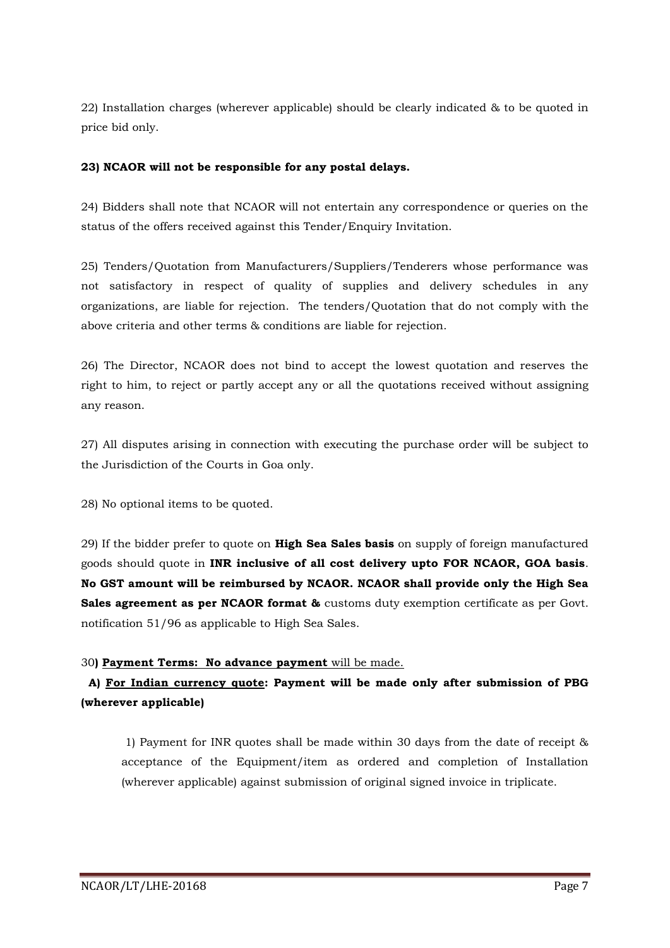22) Installation charges (wherever applicable) should be clearly indicated & to be quoted in price bid only.

### **23) NCAOR will not be responsible for any postal delays.**

24) Bidders shall note that NCAOR will not entertain any correspondence or queries on the status of the offers received against this Tender/Enquiry Invitation.

25) Tenders/Quotation from Manufacturers/Suppliers/Tenderers whose performance was not satisfactory in respect of quality of supplies and delivery schedules in any organizations, are liable for rejection. The tenders/Quotation that do not comply with the above criteria and other terms & conditions are liable for rejection.

26) The Director, NCAOR does not bind to accept the lowest quotation and reserves the right to him, to reject or partly accept any or all the quotations received without assigning any reason.

27) All disputes arising in connection with executing the purchase order will be subject to the Jurisdiction of the Courts in Goa only.

28) No optional items to be quoted.

29) If the bidder prefer to quote on **High Sea Sales basis** on supply of foreign manufactured goods should quote in **INR inclusive of all cost delivery upto FOR NCAOR, GOA basis**. **No GST amount will be reimbursed by NCAOR. NCAOR shall provide only the High Sea Sales agreement as per NCAOR format &** customs duty exemption certificate as per Govt. notification 51/96 as applicable to High Sea Sales.

### 30**) Payment Terms: No advance payment** will be made.

# **A) For Indian currency quote: Payment will be made only after submission of PBG (wherever applicable)**

1) Payment for INR quotes shall be made within 30 days from the date of receipt & acceptance of the Equipment/item as ordered and completion of Installation (wherever applicable) against submission of original signed invoice in triplicate.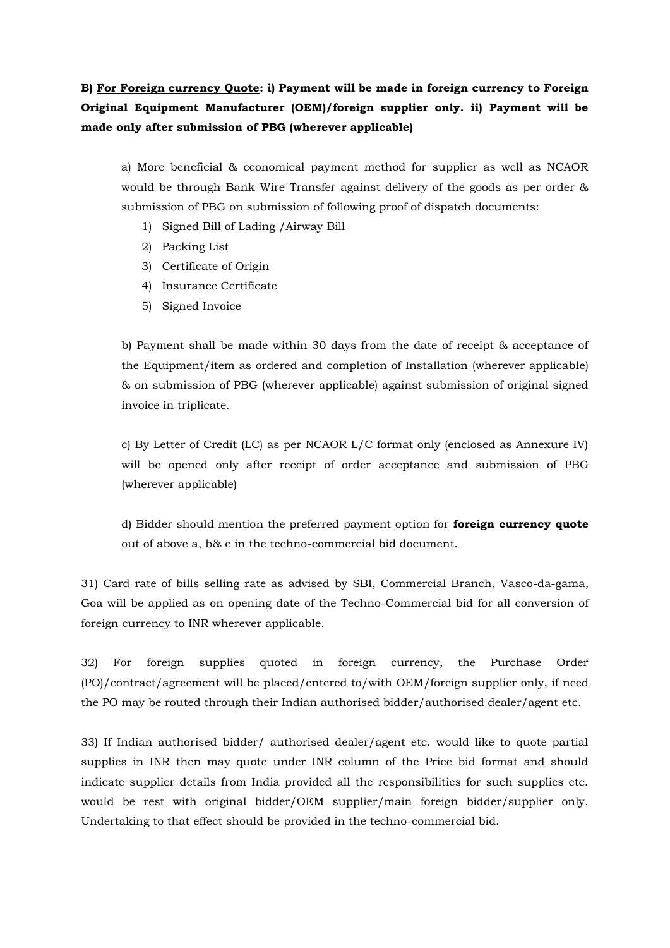# **B) For Foreign currency Quote: i) Payment will be made in foreign currency to Foreign Original Equipment Manufacturer (OEM)/foreign supplier only. ii) Payment will be made only after submission of PBG (wherever applicable)**

a) More beneficial & economical payment method for supplier as well as NCAOR would be through Bank Wire Transfer against delivery of the goods as per order & submission of PBG on submission of following proof of dispatch documents:

- 1) Signed Bill of Lading /Airway Bill
- 2) Packing List
- 3) Certificate of Origin
- 4) Insurance Certificate
- 5) Signed Invoice

b) Payment shall be made within 30 days from the date of receipt & acceptance of the Equipment/item as ordered and completion of Installation (wherever applicable) & on submission of PBG (wherever applicable) against submission of original signed invoice in triplicate.

c) By Letter of Credit (LC) as per NCAOR L/C format only (enclosed as Annexure IV) will be opened only after receipt of order acceptance and submission of PBG (wherever applicable)

d) Bidder should mention the preferred payment option for **foreign currency quote** out of above a, b& c in the techno-commercial bid document.

31) Card rate of bills selling rate as advised by SBI, Commercial Branch, Vasco-da-gama, Goa will be applied as on opening date of the Techno-Commercial bid for all conversion of foreign currency to INR wherever applicable.

32) For foreign supplies quoted in foreign currency, the Purchase Order (PO)/contract/agreement will be placed/entered to/with OEM/foreign supplier only, if need the PO may be routed through their Indian authorised bidder/authorised dealer/agent etc.

33) If Indian authorised bidder/ authorised dealer/agent etc. would like to quote partial supplies in INR then may quote under INR column of the Price bid format and should indicate supplier details from India provided all the responsibilities for such supplies etc. would be rest with original bidder/OEM supplier/main foreign bidder/supplier only. Undertaking to that effect should be provided in the techno-commercial bid.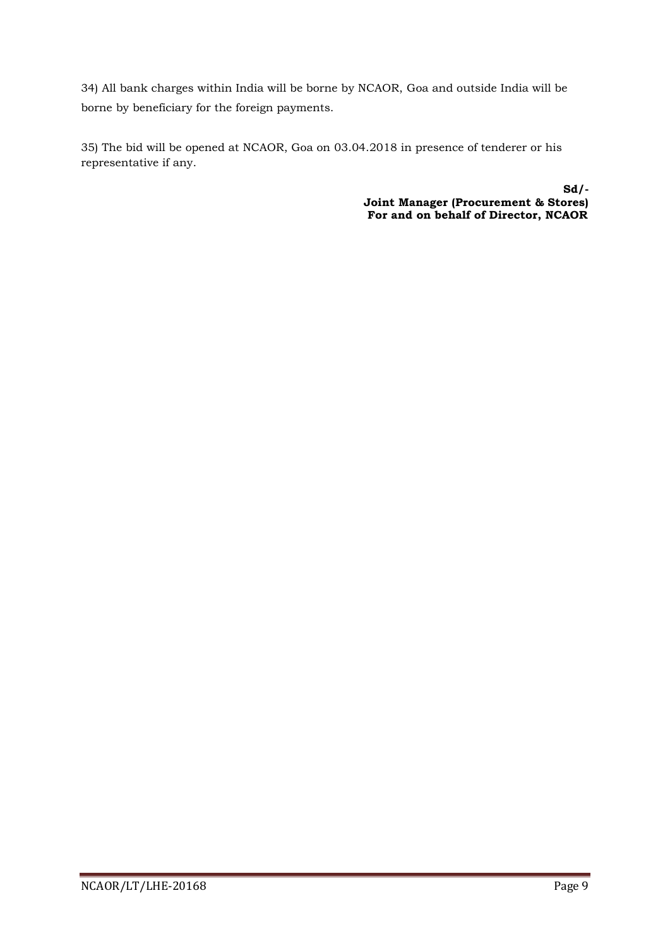34) All bank charges within India will be borne by NCAOR, Goa and outside India will be borne by beneficiary for the foreign payments.

35) The bid will be opened at NCAOR, Goa on 03.04.2018 in presence of tenderer or his representative if any.

> **Sd/- Joint Manager (Procurement & Stores) For and on behalf of Director, NCAOR**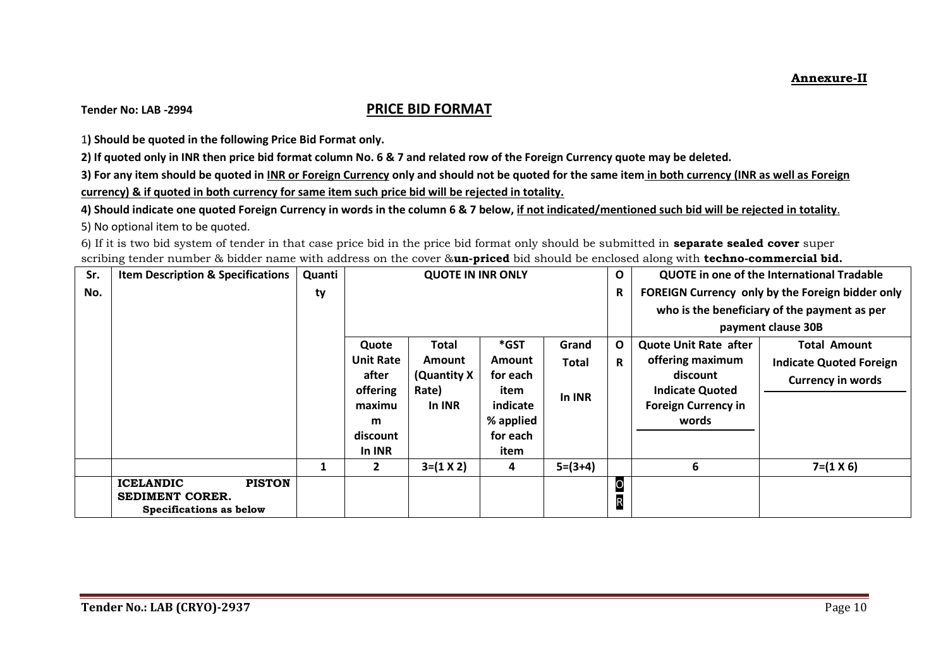## **Tender No: LAB -2994 PRICE BID FORMAT**

1**) Should be quoted in the following Price Bid Format only.**

**2) If quoted only in INR then price bid format column No. 6 & 7 and related row of the Foreign Currency quote may be deleted.**

**3) For any item should be quoted in INR or Foreign Currency only and should not be quoted for the same item in both currency (INR as well as Foreign currency) & if quoted in both currency for same item such price bid will be rejected in totality.** 

**4) Should indicate one quoted Foreign Currency in words in the column 6 & 7 below, if not indicated/mentioned such bid will be rejected in totality**. 5) No optional item to be quoted.

6) If it is two bid system of tender in that case price bid in the price bid format only should be submitted in **separate sealed cover** super scribing tender number & bidder name with address on the cover &**un-priced** bid should be enclosed along with **techno-commercial bid.**

| Sr. | <b>Item Description &amp; Specifications</b>                                           | Quanti | <b>QUOTE IN INR ONLY</b> |                  |                  | O         |                               | QUOTE in one of the International Tradable |                                                  |
|-----|----------------------------------------------------------------------------------------|--------|--------------------------|------------------|------------------|-----------|-------------------------------|--------------------------------------------|--------------------------------------------------|
| No. |                                                                                        | ty     |                          |                  |                  |           | $\mathbf R$                   |                                            | FOREIGN Currency only by the Foreign bidder only |
|     |                                                                                        |        |                          |                  |                  |           |                               |                                            | who is the beneficiary of the payment as per     |
|     |                                                                                        |        |                          |                  |                  |           |                               |                                            | payment clause 30B                               |
|     |                                                                                        |        | Quote                    | Total            | $*$ GST          | Grand     | $\mathbf{o}$                  | <b>Quote Unit Rate after</b>               | <b>Total Amount</b>                              |
|     |                                                                                        |        | <b>Unit Rate</b>         | <b>Amount</b>    | Amount           | Total     | R                             | offering maximum                           | <b>Indicate Quoted Foreign</b>                   |
|     |                                                                                        |        | after                    | (Quantity X      | for each         |           |                               | discount                                   | <b>Currency in words</b>                         |
|     |                                                                                        |        | offering                 | Rate)<br>In INR  | item<br>indicate | In INR    |                               | <b>Indicate Quoted</b>                     |                                                  |
|     |                                                                                        |        | maximu<br>m              |                  | % applied        |           |                               | <b>Foreign Currency in</b><br>words        |                                                  |
|     |                                                                                        |        | discount                 |                  | for each         |           |                               |                                            |                                                  |
|     |                                                                                        |        | In INR                   |                  | item             |           |                               |                                            |                                                  |
|     |                                                                                        |        | $\overline{2}$           | $3=(1 \times 2)$ | 4                | $5=(3+4)$ |                               | 6                                          | $7=(1 \times 6)$                                 |
|     | <b>PISTON</b><br><b>ICELANDIC</b><br><b>SEDIMENT CORER.</b><br>Specifications as below |        |                          |                  |                  |           | $\overline{O}$<br>$\mathsf R$ |                                            |                                                  |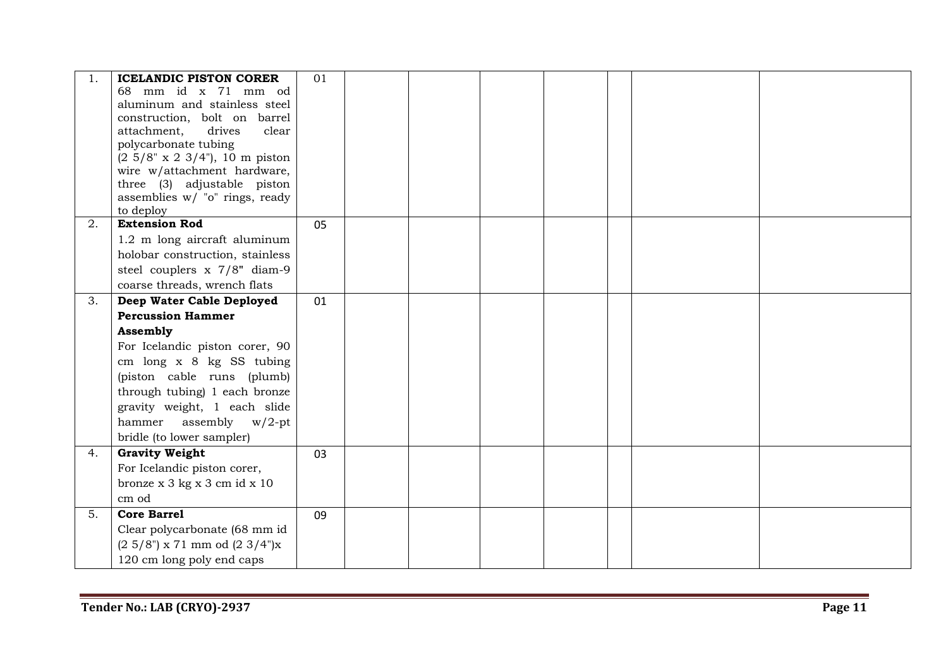|    | <b>ICELANDIC PISTON CORER</b>                              | 01 |  |  |  |  |
|----|------------------------------------------------------------|----|--|--|--|--|
|    | 68 mm id x 71 mm od                                        |    |  |  |  |  |
|    | aluminum and stainless steel                               |    |  |  |  |  |
|    | construction, bolt on barrel                               |    |  |  |  |  |
|    | attachment,<br>drives<br>clear                             |    |  |  |  |  |
|    | polycarbonate tubing                                       |    |  |  |  |  |
|    | $(2\ 5/8" \times 2\ 3/4")$ , 10 m piston                   |    |  |  |  |  |
|    | wire w/attachment hardware,<br>three (3) adjustable piston |    |  |  |  |  |
|    | assemblies w/ "o" rings, ready                             |    |  |  |  |  |
|    | to deploy                                                  |    |  |  |  |  |
| 2. | <b>Extension Rod</b>                                       | 05 |  |  |  |  |
|    | 1.2 m long aircraft aluminum                               |    |  |  |  |  |
|    | holobar construction, stainless                            |    |  |  |  |  |
|    | steel couplers x 7/8" diam-9                               |    |  |  |  |  |
|    | coarse threads, wrench flats                               |    |  |  |  |  |
| 3. | Deep Water Cable Deployed                                  | 01 |  |  |  |  |
|    | <b>Percussion Hammer</b>                                   |    |  |  |  |  |
|    | Assembly                                                   |    |  |  |  |  |
|    | For Icelandic piston corer, 90                             |    |  |  |  |  |
|    | cm long x 8 kg SS tubing                                   |    |  |  |  |  |
|    | (piston cable runs (plumb)                                 |    |  |  |  |  |
|    | through tubing) 1 each bronze                              |    |  |  |  |  |
|    | gravity weight, 1 each slide                               |    |  |  |  |  |
|    | hammer assembly $w/2$ -pt                                  |    |  |  |  |  |
|    | bridle (to lower sampler)                                  |    |  |  |  |  |
| 4. | <b>Gravity Weight</b>                                      | 03 |  |  |  |  |
|    | For Icelandic piston corer,                                |    |  |  |  |  |
|    | bronze x 3 kg x 3 cm id x 10                               |    |  |  |  |  |
|    | cm od                                                      |    |  |  |  |  |
| 5. | <b>Core Barrel</b>                                         | 09 |  |  |  |  |
|    | Clear polycarbonate (68 mm id                              |    |  |  |  |  |
|    | $(2\;5/8")$ x 71 mm od $(2\;3/4")$ x                       |    |  |  |  |  |
|    | 120 cm long poly end caps                                  |    |  |  |  |  |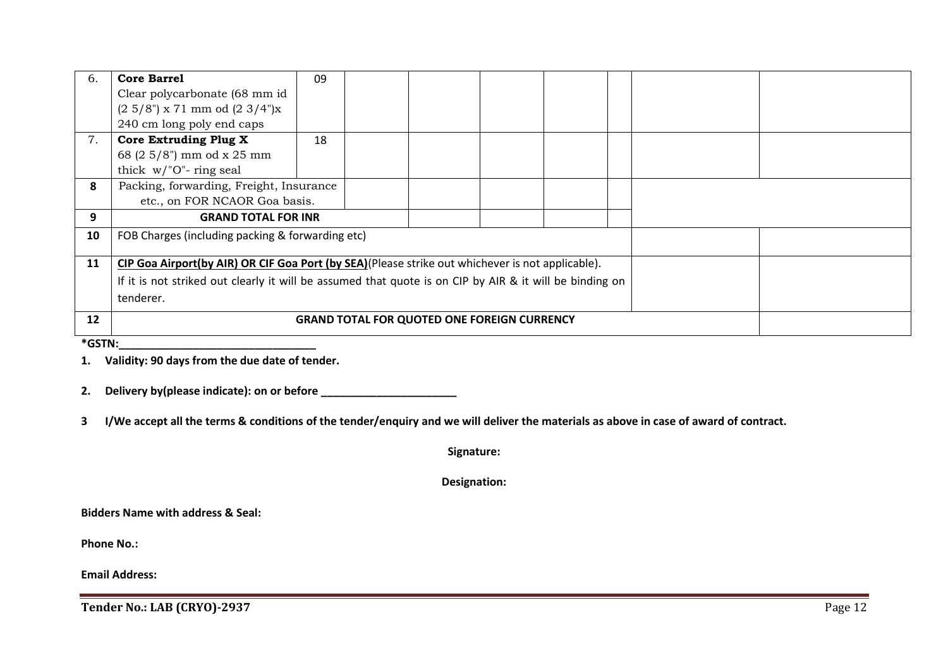| 6.                | <b>Core Barrel</b>                                                                                      | 09 |  |  |  |  |  |  |  |
|-------------------|---------------------------------------------------------------------------------------------------------|----|--|--|--|--|--|--|--|
|                   | Clear polycarbonate (68 mm id                                                                           |    |  |  |  |  |  |  |  |
|                   | $(2\;5/8")$ x 71 mm od $(2\;3/4")$ x                                                                    |    |  |  |  |  |  |  |  |
|                   | 240 cm long poly end caps                                                                               |    |  |  |  |  |  |  |  |
| 7.                | <b>Core Extruding Plug X</b>                                                                            | 18 |  |  |  |  |  |  |  |
|                   | 68 (2 5/8") mm od x 25 mm                                                                               |    |  |  |  |  |  |  |  |
|                   | thick $w/$ "O"- ring seal                                                                               |    |  |  |  |  |  |  |  |
| 8                 | Packing, forwarding, Freight, Insurance                                                                 |    |  |  |  |  |  |  |  |
|                   | etc., on FOR NCAOR Goa basis.                                                                           |    |  |  |  |  |  |  |  |
| 9                 | <b>GRAND TOTAL FOR INR</b>                                                                              |    |  |  |  |  |  |  |  |
| 10                | FOB Charges (including packing & forwarding etc)                                                        |    |  |  |  |  |  |  |  |
| 11                | CIP Goa Airport(by AIR) OR CIF Goa Port (by SEA)(Please strike out whichever is not applicable).        |    |  |  |  |  |  |  |  |
|                   | If it is not striked out clearly it will be assumed that quote is on CIP by AIR & it will be binding on |    |  |  |  |  |  |  |  |
|                   | tenderer.                                                                                               |    |  |  |  |  |  |  |  |
| $12 \overline{ }$ |                                                                                                         |    |  |  |  |  |  |  |  |
|                   | <b>GRAND TOTAL FOR QUOTED ONE FOREIGN CURRENCY</b>                                                      |    |  |  |  |  |  |  |  |
|                   |                                                                                                         |    |  |  |  |  |  |  |  |

**1. Validity: 90 days from the due date of tender.**

**2. Delivery by(please indicate): on or before \_\_\_\_\_\_\_\_\_\_\_\_\_\_\_\_\_\_\_\_\_\_**

3 I/We accept all the terms & conditions of the tender/enquiry and we will deliver the materials as above in case of award of contract.

**Signature:**

**Designation:**

**Bidders Name with address & Seal:**

**Phone No.:** 

**Email Address:**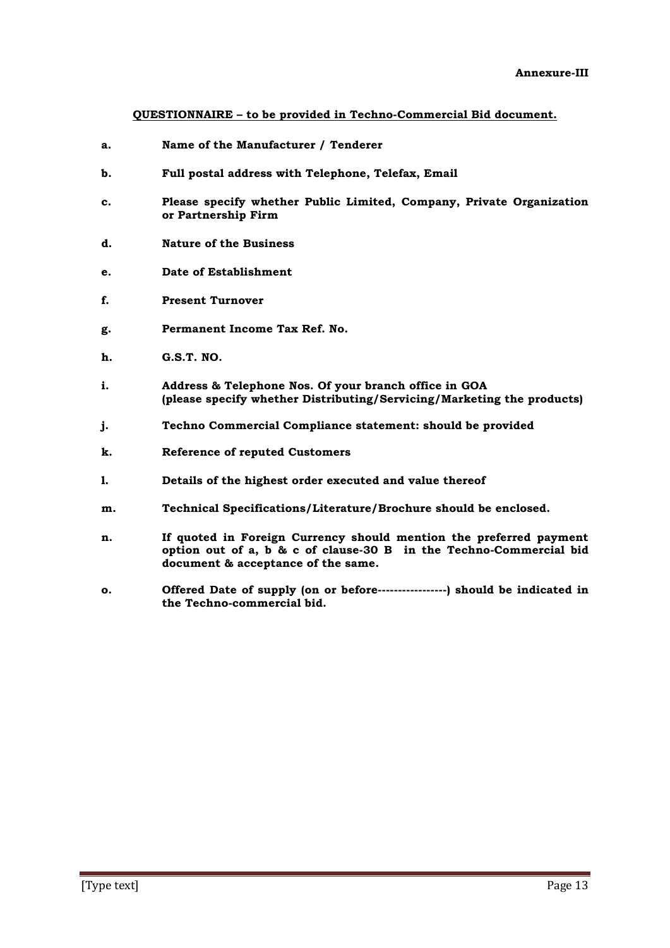**QUESTIONNAIRE – to be provided in Techno-Commercial Bid document.**

- **a. Name of the Manufacturer / Tenderer**
- **b. Full postal address with Telephone, Telefax, Email**
- **c. Please specify whether Public Limited, Company, Private Organization or Partnership Firm**
- **d. Nature of the Business**
- **e. Date of Establishment**
- **f. Present Turnover**
- **g. Permanent Income Tax Ref. No.**
- **h. G.S.T. NO.**
- **i. Address & Telephone Nos. Of your branch office in GOA (please specify whether Distributing/Servicing/Marketing the products)**
- **j. Techno Commercial Compliance statement: should be provided**
- **k. Reference of reputed Customers**
- **l. Details of the highest order executed and value thereof**
- **m. Technical Specifications/Literature/Brochure should be enclosed.**
- **n. If quoted in Foreign Currency should mention the preferred payment option out of a, b & c of clause-30 B in the Techno-Commercial bid document & acceptance of the same.**
- **o. Offered Date of supply (on or before-----------------) should be indicated in the Techno-commercial bid.**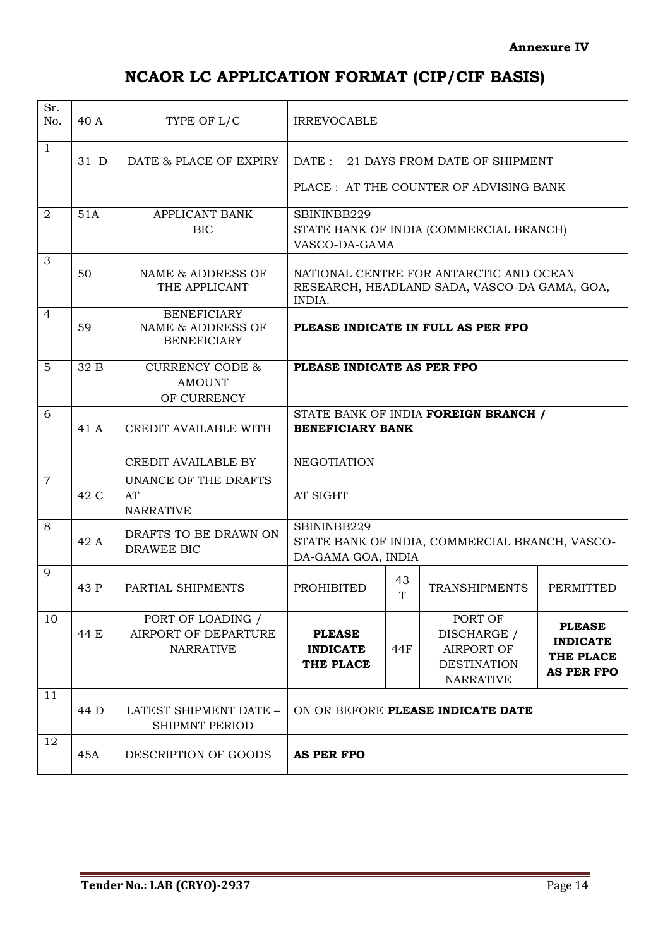# **NCAOR LC APPLICATION FORMAT (CIP/CIF BASIS)**

| Sr.<br>No.     | 40 A    | TYPE OF L/C                                                   | <b>IRREVOCABLE</b>                                                                  |                                                                                |                                                                                         |                                                                    |  |  |
|----------------|---------|---------------------------------------------------------------|-------------------------------------------------------------------------------------|--------------------------------------------------------------------------------|-----------------------------------------------------------------------------------------|--------------------------------------------------------------------|--|--|
| $\mathbf{1}$   | $31\,D$ | DATE & PLACE OF EXPIRY                                        |                                                                                     | DATE: 21 DAYS FROM DATE OF SHIPMENT<br>PLACE : AT THE COUNTER OF ADVISING BANK |                                                                                         |                                                                    |  |  |
| 2              | 51A     | <b>APPLICANT BANK</b><br><b>BIC</b>                           | SBININBB229                                                                         | STATE BANK OF INDIA (COMMERCIAL BRANCH)<br>VASCO-DA-GAMA                       |                                                                                         |                                                                    |  |  |
| 3              | 50      | NAME & ADDRESS OF<br>THE APPLICANT                            | INDIA.                                                                              |                                                                                | NATIONAL CENTRE FOR ANTARCTIC AND OCEAN<br>RESEARCH, HEADLAND SADA, VASCO-DA GAMA, GOA, |                                                                    |  |  |
| $\overline{4}$ | 59      | <b>BENEFICIARY</b><br>NAME & ADDRESS OF<br><b>BENEFICIARY</b> | PLEASE INDICATE IN FULL AS PER FPO                                                  |                                                                                |                                                                                         |                                                                    |  |  |
| 5              | 32 B    | <b>CURRENCY CODE &amp;</b><br><b>AMOUNT</b><br>OF CURRENCY    | PLEASE INDICATE AS PER FPO                                                          |                                                                                |                                                                                         |                                                                    |  |  |
| 6              | 41 A    | CREDIT AVAILABLE WITH                                         | STATE BANK OF INDIA FOREIGN BRANCH /<br><b>BENEFICIARY BANK</b>                     |                                                                                |                                                                                         |                                                                    |  |  |
|                |         | CREDIT AVAILABLE BY                                           | <b>NEGOTIATION</b>                                                                  |                                                                                |                                                                                         |                                                                    |  |  |
| $\overline{7}$ | 42 C    | UNANCE OF THE DRAFTS<br>AT<br><b>NARRATIVE</b>                | AT SIGHT                                                                            |                                                                                |                                                                                         |                                                                    |  |  |
| 8              | 42 A    | DRAFTS TO BE DRAWN ON<br>DRAWEE BIC                           | SBININBB229<br>STATE BANK OF INDIA, COMMERCIAL BRANCH, VASCO-<br>DA-GAMA GOA, INDIA |                                                                                |                                                                                         |                                                                    |  |  |
| 9              | 43 P    | PARTIAL SHIPMENTS                                             | <b>PROHIBITED</b>                                                                   | 43<br>T                                                                        | <b>TRANSHIPMENTS</b>                                                                    | <b>PERMITTED</b>                                                   |  |  |
| 10             | 44 E    | PORT OF LOADING /<br>AIRPORT OF DEPARTURE<br><b>NARRATIVE</b> | <b>PLEASE</b><br><b>INDICATE</b><br>THE PLACE                                       | 44F                                                                            | PORT OF<br>DISCHARGE /<br><b>AIRPORT OF</b><br><b>DESTINATION</b><br><b>NARRATIVE</b>   | <b>PLEASE</b><br><b>INDICATE</b><br>THE PLACE<br><b>AS PER FPO</b> |  |  |
| 11             | 44 D    | LATEST SHIPMENT DATE -<br>SHIPMNT PERIOD                      | ON OR BEFORE PLEASE INDICATE DATE                                                   |                                                                                |                                                                                         |                                                                    |  |  |
| 12             | 45A     | DESCRIPTION OF GOODS                                          | <b>AS PER FPO</b>                                                                   |                                                                                |                                                                                         |                                                                    |  |  |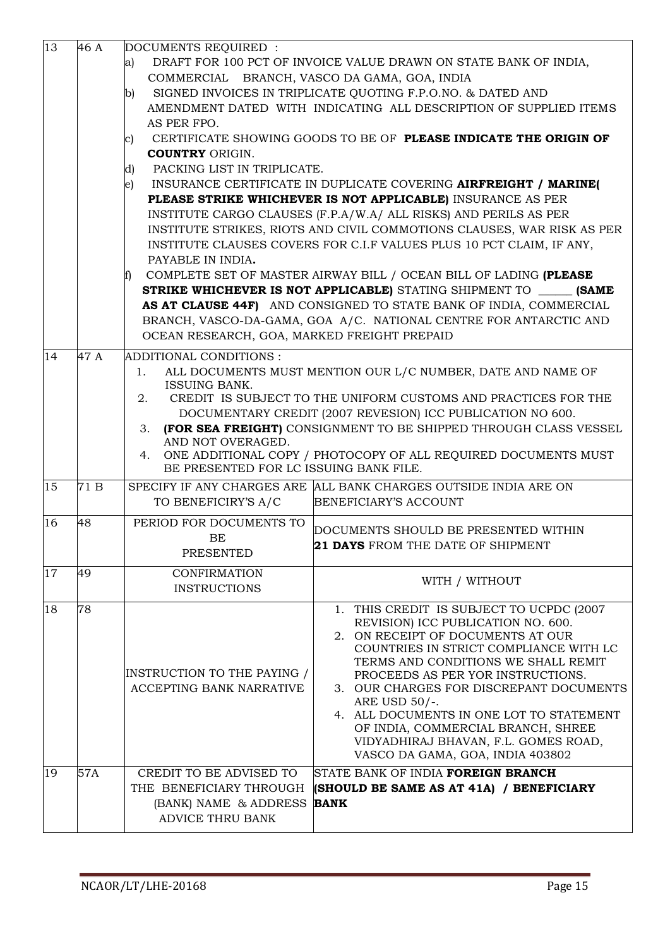|          |           | (BANK) NAME & ADDRESS<br><b>ADVICE THRU BANK</b>                                                                                                                                                                                               | <b>BANK</b>                                                                                                                                                                                                                                                                                                                                                                                                                                                                                                                                                                                                                                                                                                                                                                                                                                                                                                                      |
|----------|-----------|------------------------------------------------------------------------------------------------------------------------------------------------------------------------------------------------------------------------------------------------|----------------------------------------------------------------------------------------------------------------------------------------------------------------------------------------------------------------------------------------------------------------------------------------------------------------------------------------------------------------------------------------------------------------------------------------------------------------------------------------------------------------------------------------------------------------------------------------------------------------------------------------------------------------------------------------------------------------------------------------------------------------------------------------------------------------------------------------------------------------------------------------------------------------------------------|
|          |           | THE BENEFICIARY THROUGH                                                                                                                                                                                                                        | (SHOULD BE SAME AS AT 41A) / BENEFICIARY                                                                                                                                                                                                                                                                                                                                                                                                                                                                                                                                                                                                                                                                                                                                                                                                                                                                                         |
| 18<br>19 | 78<br>57A | INSTRUCTION TO THE PAYING /<br>ACCEPTING BANK NARRATIVE<br>CREDIT TO BE ADVISED TO                                                                                                                                                             | 1. THIS CREDIT IS SUBJECT TO UCPDC (2007<br>REVISION) ICC PUBLICATION NO. 600.<br>2. ON RECEIPT OF DOCUMENTS AT OUR<br>COUNTRIES IN STRICT COMPLIANCE WITH LC<br>TERMS AND CONDITIONS WE SHALL REMIT<br>PROCEEDS AS PER YOR INSTRUCTIONS.<br>3. OUR CHARGES FOR DISCREPANT DOCUMENTS<br>ARE USD 50/-.<br>4. ALL DOCUMENTS IN ONE LOT TO STATEMENT<br>OF INDIA, COMMERCIAL BRANCH, SHREE<br>VIDYADHIRAJ BHAVAN, F.L. GOMES ROAD,<br>VASCO DA GAMA, GOA, INDIA 403802<br>STATE BANK OF INDIA FOREIGN BRANCH                                                                                                                                                                                                                                                                                                                                                                                                                        |
| 17       | 49        | <b>CONFIRMATION</b><br><b>INSTRUCTIONS</b>                                                                                                                                                                                                     | WITH / WITHOUT                                                                                                                                                                                                                                                                                                                                                                                                                                                                                                                                                                                                                                                                                                                                                                                                                                                                                                                   |
| 16       | 48        | PERIOD FOR DOCUMENTS TO<br>BE<br><b>PRESENTED</b>                                                                                                                                                                                              | DOCUMENTS SHOULD BE PRESENTED WITHIN<br>21 DAYS FROM THE DATE OF SHIPMENT                                                                                                                                                                                                                                                                                                                                                                                                                                                                                                                                                                                                                                                                                                                                                                                                                                                        |
| 15       | 71 B      | TO BENEFICIRY'S A/C                                                                                                                                                                                                                            | SPECIFY IF ANY CHARGES ARE ALL BANK CHARGES OUTSIDE INDIA ARE ON<br>BENEFICIARY'S ACCOUNT                                                                                                                                                                                                                                                                                                                                                                                                                                                                                                                                                                                                                                                                                                                                                                                                                                        |
| 14       | 47 A      | ADDITIONAL CONDITIONS :<br>1.<br><b>ISSUING BANK.</b><br>2.<br>3.<br>AND NOT OVERAGED.<br>4.<br>BE PRESENTED FOR LC ISSUING BANK FILE.                                                                                                         | ALL DOCUMENTS MUST MENTION OUR L/C NUMBER, DATE AND NAME OF<br>CREDIT IS SUBJECT TO THE UNIFORM CUSTOMS AND PRACTICES FOR THE<br>DOCUMENTARY CREDIT (2007 REVESION) ICC PUBLICATION NO 600.<br>(FOR SEA FREIGHT) CONSIGNMENT TO BE SHIPPED THROUGH CLASS VESSEL<br>ONE ADDITIONAL COPY / PHOTOCOPY OF ALL REQUIRED DOCUMENTS MUST                                                                                                                                                                                                                                                                                                                                                                                                                                                                                                                                                                                                |
| 13       | 46 A      | DOCUMENTS REQUIRED :<br>a)<br>COMMERCIAL BRANCH, VASCO DA GAMA, GOA, INDIA<br>b)<br>AS PER FPO.<br>C)<br><b>COUNTRY ORIGIN.</b><br>PACKING LIST IN TRIPLICATE.<br>d)<br>e)<br>PAYABLE IN INDIA.<br>OCEAN RESEARCH, GOA, MARKED FREIGHT PREPAID | DRAFT FOR 100 PCT OF INVOICE VALUE DRAWN ON STATE BANK OF INDIA,<br>SIGNED INVOICES IN TRIPLICATE QUOTING F.P.O.NO. & DATED AND<br>AMENDMENT DATED WITH INDICATING ALL DESCRIPTION OF SUPPLIED ITEMS<br>CERTIFICATE SHOWING GOODS TO BE OF PLEASE INDICATE THE ORIGIN OF<br>INSURANCE CERTIFICATE IN DUPLICATE COVERING AIRFREIGHT / MARINE(<br>PLEASE STRIKE WHICHEVER IS NOT APPLICABLE) INSURANCE AS PER<br>INSTITUTE CARGO CLAUSES (F.P.A/W.A/ ALL RISKS) AND PERILS AS PER<br>INSTITUTE STRIKES, RIOTS AND CIVIL COMMOTIONS CLAUSES, WAR RISK AS PER<br>INSTITUTE CLAUSES COVERS FOR C.I.F VALUES PLUS 10 PCT CLAIM, IF ANY,<br>COMPLETE SET OF MASTER AIRWAY BILL / OCEAN BILL OF LADING (PLEASE<br><b>STRIKE WHICHEVER IS NOT APPLICABLE)</b> STATING SHIPMENT TO <b>(SAME</b><br>AS AT CLAUSE 44F) AND CONSIGNED TO STATE BANK OF INDIA, COMMERCIAL<br>BRANCH, VASCO-DA-GAMA, GOA A/C. NATIONAL CENTRE FOR ANTARCTIC AND |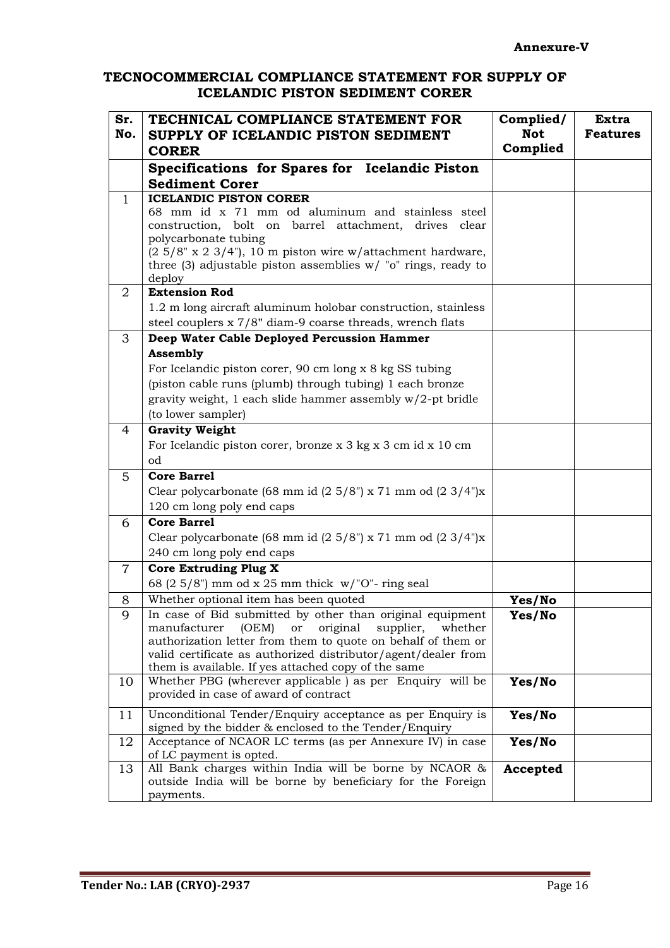### **TECNOCOMMERCIAL COMPLIANCE STATEMENT FOR SUPPLY OF ICELANDIC PISTON SEDIMENT CORER**

| Sr.<br>No.     | TECHNICAL COMPLIANCE STATEMENT FOR<br>SUPPLY OF ICELANDIC PISTON SEDIMENT                                          | Complied/<br><b>Not</b><br>Complied | <b>Extra</b><br><b>Features</b> |
|----------------|--------------------------------------------------------------------------------------------------------------------|-------------------------------------|---------------------------------|
|                | <b>CORER</b>                                                                                                       |                                     |                                 |
|                | Specifications for Spares for Icelandic Piston                                                                     |                                     |                                 |
|                | <b>Sediment Corer</b>                                                                                              |                                     |                                 |
| 1              | <b>ICELANDIC PISTON CORER</b>                                                                                      |                                     |                                 |
|                | 68 mm id x 71 mm od aluminum and stainless steel<br>construction, bolt on barrel attachment,<br>drives<br>clear    |                                     |                                 |
|                | polycarbonate tubing                                                                                               |                                     |                                 |
|                | $(2\ 5/8"$ x 2 3/4"), 10 m piston wire w/attachment hardware,                                                      |                                     |                                 |
|                | three (3) adjustable piston assemblies $w/$ "o" rings, ready to                                                    |                                     |                                 |
|                | deploy                                                                                                             |                                     |                                 |
| 2              | <b>Extension Rod</b>                                                                                               |                                     |                                 |
|                | 1.2 m long aircraft aluminum holobar construction, stainless                                                       |                                     |                                 |
|                | steel couplers x 7/8" diam-9 coarse threads, wrench flats                                                          |                                     |                                 |
| 3              | Deep Water Cable Deployed Percussion Hammer                                                                        |                                     |                                 |
|                | <b>Assembly</b>                                                                                                    |                                     |                                 |
|                | For Icelandic piston corer, 90 cm long x 8 kg SS tubing                                                            |                                     |                                 |
|                | (piston cable runs (plumb) through tubing) 1 each bronze                                                           |                                     |                                 |
|                | gravity weight, 1 each slide hammer assembly $w/2$ -pt bridle                                                      |                                     |                                 |
|                | (to lower sampler)                                                                                                 |                                     |                                 |
| $\overline{4}$ | <b>Gravity Weight</b>                                                                                              |                                     |                                 |
|                | For Icelandic piston corer, bronze x 3 kg x 3 cm id x 10 cm<br>od                                                  |                                     |                                 |
| 5              | <b>Core Barrel</b>                                                                                                 |                                     |                                 |
|                | Clear polycarbonate (68 mm id $(2\ 5/8)$ ") x 71 mm od $(2\ 3/4)$ ")x                                              |                                     |                                 |
|                | 120 cm long poly end caps                                                                                          |                                     |                                 |
| 6              | <b>Core Barrel</b>                                                                                                 |                                     |                                 |
|                | Clear polycarbonate (68 mm id $(2\ 5/8)$ ") x 71 mm od $(2\ 3/4)$ ")x                                              |                                     |                                 |
|                | 240 cm long poly end caps                                                                                          |                                     |                                 |
| $\overline{7}$ | <b>Core Extruding Plug X</b>                                                                                       |                                     |                                 |
|                | 68 (2 5/8") mm od x 25 mm thick $w$ /"O"- ring seal                                                                |                                     |                                 |
| 8              | Whether optional item has been quoted                                                                              | Yes/No                              |                                 |
| 9              | In case of Bid submitted by other than original equipment                                                          | Yes/No                              |                                 |
|                | manufacturer<br>(OEM)<br>original<br>or<br>supplier,<br>whether                                                    |                                     |                                 |
|                | authorization letter from them to quote on behalf of them or                                                       |                                     |                                 |
|                | valid certificate as authorized distributor/agent/dealer from                                                      |                                     |                                 |
|                | them is available. If yes attached copy of the same<br>Whether PBG (wherever applicable) as per Enquiry will be    |                                     |                                 |
| 10             | provided in case of award of contract                                                                              | Yes/No                              |                                 |
|                |                                                                                                                    |                                     |                                 |
| 11             | Unconditional Tender/Enquiry acceptance as per Enquiry is<br>signed by the bidder & enclosed to the Tender/Enquiry | Yes/No                              |                                 |
| 12             | Acceptance of NCAOR LC terms (as per Annexure IV) in case                                                          | Yes/No                              |                                 |
|                | of LC payment is opted.                                                                                            |                                     |                                 |
| 13             | All Bank charges within India will be borne by NCAOR &                                                             | Accepted                            |                                 |
|                | outside India will be borne by beneficiary for the Foreign                                                         |                                     |                                 |
|                | payments.                                                                                                          |                                     |                                 |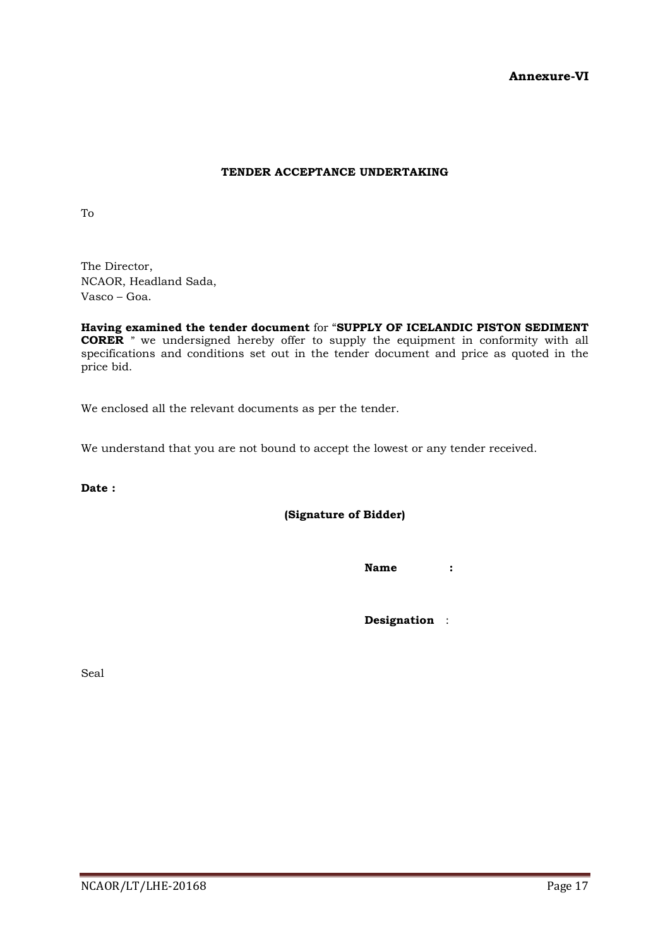### **Annexure-VI**

### **TENDER ACCEPTANCE UNDERTAKING**

To

The Director, NCAOR, Headland Sada, Vasco – Goa.

**Having examined the tender document** for "**SUPPLY OF ICELANDIC PISTON SEDIMENT CORER** " we undersigned hereby offer to supply the equipment in conformity with all specifications and conditions set out in the tender document and price as quoted in the price bid.

We enclosed all the relevant documents as per the tender.

We understand that you are not bound to accept the lowest or any tender received.

**Date :**

**(Signature of Bidder)**

**Name :**

**Designation** :

Seal